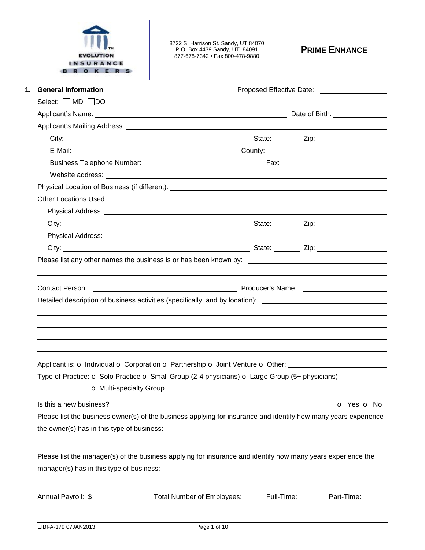| <b>EVOLUTION</b><br>SURANCE<br>O K E R | 8722 S. Harrison St. Sandy, UT 84070<br>P.O. Box 4439 Sandy, UT 84091<br>877-678-7342 · Fax 800-478-9880                                                                                                                       | <b>PRIME ENHANCE</b>                         |
|----------------------------------------|--------------------------------------------------------------------------------------------------------------------------------------------------------------------------------------------------------------------------------|----------------------------------------------|
| <b>General Information</b><br>1.       |                                                                                                                                                                                                                                | Proposed Effective Date: 2000 2012 2022 2023 |
| Select: $\Box$ MD $\Box$ DO            |                                                                                                                                                                                                                                |                                              |
|                                        |                                                                                                                                                                                                                                |                                              |
|                                        |                                                                                                                                                                                                                                |                                              |
|                                        |                                                                                                                                                                                                                                |                                              |
|                                        |                                                                                                                                                                                                                                |                                              |
|                                        |                                                                                                                                                                                                                                |                                              |
|                                        |                                                                                                                                                                                                                                |                                              |
|                                        | Physical Location of Business (if different): Next and the state of the state of the state of the state of the state of the state of the state of the state of the state of the state of the state of the state of the state o |                                              |
| <b>Other Locations Used:</b>           |                                                                                                                                                                                                                                |                                              |
|                                        |                                                                                                                                                                                                                                |                                              |
|                                        |                                                                                                                                                                                                                                |                                              |
|                                        |                                                                                                                                                                                                                                |                                              |
|                                        |                                                                                                                                                                                                                                |                                              |
|                                        | Contact Person: <u>Contact Person:</u> Contact Person: Contact Person: Contact Person:<br>Detailed description of business activities (specifically, and by location): ________________________________                        |                                              |
| <b>o</b> Multi-specialty Group         | Applicant is: O Individual O Corporation O Partnership O Joint Venture O Other: ____________________<br>Type of Practice: O Solo Practice O Small Group (2-4 physicians) O Large Group (5+ physicians)                         |                                              |
| Is this a new business?                |                                                                                                                                                                                                                                | o Yes o No                                   |
|                                        | Please list the business owner(s) of the business applying for insurance and identify how many years experience                                                                                                                |                                              |
|                                        |                                                                                                                                                                                                                                |                                              |
|                                        | Please list the manager(s) of the business applying for insurance and identify how many years experience the                                                                                                                   |                                              |
|                                        | Annual Payroll: \$ _____________________ Total Number of Employees: ______ Full-Time: ________ Part-Time: ______                                                                                                               |                                              |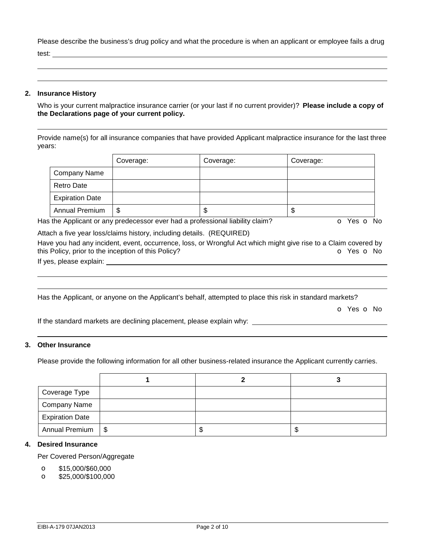Please describe the business's drug policy and what the procedure is when an applicant or employee fails a drug test:

 

 

#### **2. Insurance History**

Who is your current malpractice insurance carrier (or your last if no current provider)? **Please include a copy of the Declarations page of your current policy.**

Provide name(s) for all insurance companies that have provided Applicant malpractice insurance for the last three years:

|                        | Coverage: | Coverage: | Coverage: |
|------------------------|-----------|-----------|-----------|
| <b>Company Name</b>    |           |           |           |
| Retro Date             |           |           |           |
| <b>Expiration Date</b> |           |           |           |
| Annual Premium         | \$        | ۰D        | J         |

Has the Applicant or any predecessor ever had a professional liability claim?  $\bullet$  Yes  $\bullet$  No

Attach a five year loss/claims history, including details. (REQUIRED)

Have you had any incident, event, occurrence, loss, or Wrongful Act which might give rise to a Claim covered by this Policy, prior to the inception of this Policy? **o Yes o No** 

If yes, please explain:

Has the Applicant, or anyone on the Applicant's behalf, attempted to place this risk in standard markets?

o Yes o No

If the standard markets are declining placement, please explain why:

#### **3. Other Insurance**

Please provide the following information for all other business-related insurance the Applicant currently carries.

| Coverage Type          |     |   |   |
|------------------------|-----|---|---|
| <b>Company Name</b>    |     |   |   |
| <b>Expiration Date</b> |     |   |   |
| <b>Annual Premium</b>  | -\$ | S | Œ |

## **4. Desired Insurance**

Per Covered Person/Aggregate

- o \$15,000/\$60,000
- o \$25,000/\$100,000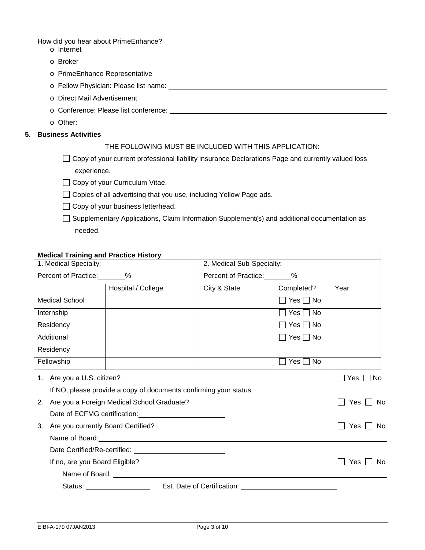How did you hear about PrimeEnhance?

- o Internet
- o Broker
- o PrimeEnhance Representative
- o Fellow Physician: Please list name:
- o Direct Mail Advertisement
- o Conference: Please list conference:
- o Other:

# **5. Business Activities**

# THE FOLLOWING MUST BE INCLUDED WITH THIS APPLICATION:

 $\Box$  Copy of your current professional liability insurance Declarations Page and currently valued loss experience.

□ Copy of your Curriculum Vitae.

- □ Copies of all advertising that you use, including Yellow Page ads.
- □ Copy of your business letterhead.
- □ Supplementary Applications, Claim Information Supplement(s) and additional documentation as needed.

| <b>Medical Training and Practice History</b>  |                               |                                                                   |                        |            |  |
|-----------------------------------------------|-------------------------------|-------------------------------------------------------------------|------------------------|------------|--|
| 1. Medical Specialty:                         |                               | 2. Medical Sub-Specialty:                                         |                        |            |  |
| Percent of Practice: 68                       |                               |                                                                   | Percent of Practice: 8 |            |  |
|                                               | Hospital / College            | City & State                                                      | Completed?             | Year       |  |
| <b>Medical School</b>                         |                               |                                                                   | $\Box$ Yes $\Box$ No   |            |  |
| Internship                                    |                               |                                                                   | $\Box$ Yes $\Box$ No   |            |  |
| Residency                                     |                               |                                                                   | │ Yes │ No             |            |  |
| Additional                                    |                               |                                                                   | $\Box$ Yes $\Box$ No   |            |  |
| Residency                                     |                               |                                                                   |                        |            |  |
| Fellowship                                    |                               |                                                                   | Yes  No                |            |  |
| 1. Are you a U.S. citizen?                    |                               |                                                                   |                        | ヿYes ∏ No  |  |
|                                               |                               | If NO, please provide a copy of documents confirming your status. |                        |            |  |
| 2. Are you a Foreign Medical School Graduate? |                               |                                                                   |                        | Yes<br>No. |  |
|                                               | Date of ECFMG certification:  |                                                                   |                        |            |  |
| 3. Are you currently Board Certified?         |                               |                                                                   |                        | Yes<br>No. |  |
|                                               | Name of Board: Name of Board: |                                                                   |                        |            |  |
|                                               |                               |                                                                   |                        |            |  |
| If no, are you Board Eligible?                |                               |                                                                   |                        | Yes<br>No. |  |
|                                               | Name of Board: Name of Board: |                                                                   |                        |            |  |
| Status: <u>www.community.com</u>              |                               | Est. Date of Certification: Est. Date of Certification:           |                        |            |  |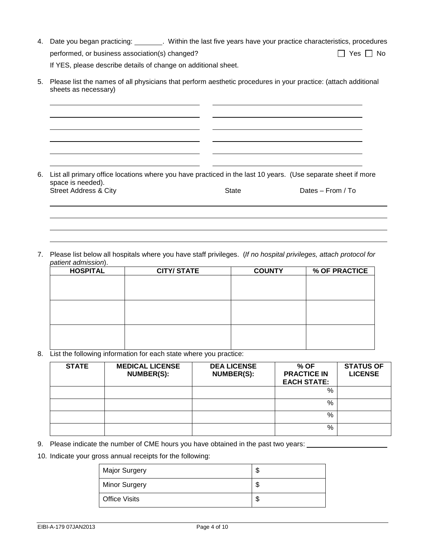4. Date you began practicing: Within the last five years have your practice characteristics, procedures performed, or business association(s) changed?  $\Box$  Yes  $\Box$  No

If YES, please describe details of change on additional sheet.

5. Please list the names of all physicians that perform aesthetic procedures in your practice: (attach additional sheets as necessary)

6. List all primary office locations where you have practiced in the last 10 years. (Use separate sheet if more space is needed). Street Address & City **State** State **Dates – From / To** State Dates – From / To

7. Please list below all hospitals where you have staff privileges. (*If no hospital privileges, attach protocol for patient admission*).

| <b>HOSPITAL</b> | <b>CITY/STATE</b> | <b>COUNTY</b> | % OF PRACTICE |
|-----------------|-------------------|---------------|---------------|
|                 |                   |               |               |
|                 |                   |               |               |
|                 |                   |               |               |
|                 |                   |               |               |
|                 |                   |               |               |
|                 |                   |               |               |
|                 |                   |               |               |
|                 |                   |               |               |
|                 |                   |               |               |

8. List the following information for each state where you practice:

| <b>STATE</b> | <b>MEDICAL LICENSE</b><br>NUMBER(S): | <b>DEA LICENSE</b><br><b>NUMBER(S):</b> | % OF<br><b>PRACTICE IN</b><br><b>EACH STATE:</b> | <b>STATUS OF</b><br><b>LICENSE</b> |
|--------------|--------------------------------------|-----------------------------------------|--------------------------------------------------|------------------------------------|
|              |                                      |                                         | %                                                |                                    |
|              |                                      |                                         | %                                                |                                    |
|              |                                      |                                         | %                                                |                                    |
|              |                                      |                                         | %                                                |                                    |

9. Please indicate the number of CME hours you have obtained in the past two years:

10. Indicate your gross annual receipts for the following:

| <b>Major Surgery</b> | ъD |
|----------------------|----|
| <b>Minor Surgery</b> | Φ  |
| <b>Office Visits</b> | J  |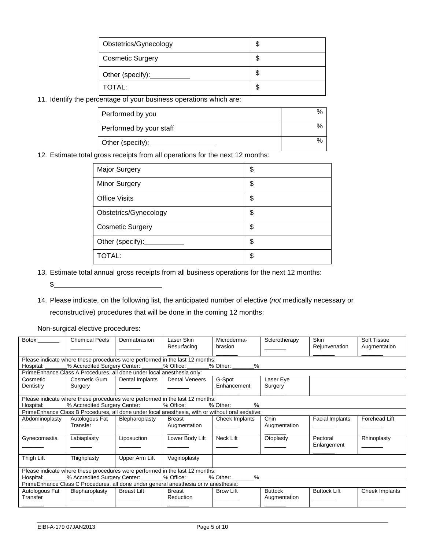| Obstetrics/Gynecology   | \$ |
|-------------------------|----|
| <b>Cosmetic Surgery</b> | \$ |
| Other (specify):        | \$ |
| TOTAL:                  | S  |

11. Identify the percentage of your business operations which are:

| Performed by you        | % |
|-------------------------|---|
| Performed by your staff | % |
| Other (specify):        | % |

12. Estimate total gross receipts from all operations for the next 12 months:

| <b>Major Surgery</b>    | \$ |
|-------------------------|----|
| <b>Minor Surgery</b>    | \$ |
| <b>Office Visits</b>    | \$ |
| Obstetrics/Gynecology   | \$ |
| <b>Cosmetic Surgery</b> | \$ |
| Other (specify): ______ | \$ |
| TOTAL:                  | \$ |

13. Estimate total annual gross receipts from all business operations for the next 12 months:

 $\frac{1}{2}$ 

14. Please indicate, on the following list, the anticipated number of elective (*not* medically necessary or reconstructive) procedures that will be done in the coming 12 months:

Non-surgical elective procedures:

| $\overline{\text{Botox}}$ <sub>________</sub> | <b>Chemical Peels</b>                                                        | Dermabrasion       | Laser Skin                                                                                       | Microderma-              | Sclerotherapy  | <b>Skin</b>            | Soft Tissue    |  |
|-----------------------------------------------|------------------------------------------------------------------------------|--------------------|--------------------------------------------------------------------------------------------------|--------------------------|----------------|------------------------|----------------|--|
|                                               |                                                                              |                    | Resurfacing                                                                                      | brasion                  |                | Rejunvenation          | Augmentation   |  |
|                                               |                                                                              |                    |                                                                                                  |                          |                |                        |                |  |
|                                               | Please indicate where these procedures were performed in the last 12 months: |                    |                                                                                                  |                          |                |                        |                |  |
| Hospital:                                     | _% Accredited Surgery Center: _______% Office: ______                        |                    |                                                                                                  | % Other: <u>_______%</u> |                |                        |                |  |
|                                               | PrimeEnhance Class A Procedures, all done under local anesthesia only:       |                    |                                                                                                  |                          |                |                        |                |  |
| Cosmetic                                      | Cosmetic Gum                                                                 | Dental Implants    | <b>Dental Veneers</b>                                                                            | G-Spot                   | Laser Eye      |                        |                |  |
| Dentistry                                     | Surgery                                                                      |                    |                                                                                                  | Enhancement              | Surgery        |                        |                |  |
|                                               |                                                                              |                    |                                                                                                  |                          |                |                        |                |  |
|                                               |                                                                              |                    | Please indicate where these procedures were performed in the last 12 months:                     |                          |                |                        |                |  |
|                                               | Hospital: _______% Accredited Surgery Center: ______% Office: ______         |                    |                                                                                                  | % Other: %               |                |                        |                |  |
|                                               |                                                                              |                    | PrimeEnhance Class B Procedures, all done under local anesthesia, with or without oral sedative: |                          |                |                        |                |  |
| Abdominoplasty                                | Autologous Fat                                                               | Blepharoplasty     | Breast                                                                                           | Cheek Implants           | Chin           | <b>Facial Implants</b> | Forehead Lift  |  |
|                                               | Transfer                                                                     |                    | Augmentation                                                                                     |                          | Augmentation   |                        |                |  |
|                                               |                                                                              |                    |                                                                                                  |                          |                |                        |                |  |
| Gynecomastia                                  | Labiaplasty                                                                  | Liposuction        | Lower Body Lift                                                                                  | Neck Lift                | Otoplasty      | Pectoral               | Rhinoplasty    |  |
|                                               |                                                                              |                    |                                                                                                  |                          |                | Enlargement            |                |  |
|                                               |                                                                              |                    |                                                                                                  |                          |                |                        |                |  |
| Thigh Lift                                    | Thighplasty                                                                  | Upper Arm Lift     | Vaginoplasty                                                                                     |                          |                |                        |                |  |
|                                               |                                                                              |                    |                                                                                                  |                          |                |                        |                |  |
|                                               |                                                                              |                    | Please indicate where these procedures were performed in the last 12 months:                     |                          |                |                        |                |  |
| Hospital:                                     |                                                                              |                    | % Accredited Surgery Center: 6 % Office: 6 % Other:                                              | %                        |                |                        |                |  |
|                                               |                                                                              |                    | PrimeEnhance Class C Procedures, all done under general anesthesia or iv anesthesia:             |                          |                |                        |                |  |
| Autologous Fat                                | Blepharoplasty                                                               | <b>Breast Lift</b> | <b>Breast</b>                                                                                    | <b>Brow Lift</b>         | <b>Buttock</b> | <b>Buttock Lift</b>    | Cheek Implants |  |
| Transfer                                      |                                                                              |                    | Reduction                                                                                        |                          | Augmentation   |                        |                |  |
|                                               |                                                                              |                    |                                                                                                  |                          |                |                        |                |  |
|                                               |                                                                              |                    |                                                                                                  |                          |                |                        |                |  |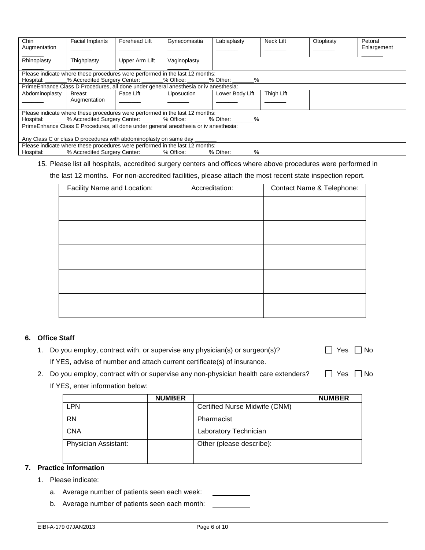| Chin<br>Augmentation                                                                 | Facial Implants                                                                       | Forehead Lift  | Gynecomastia | Labiaplasty                                                                             | Neck Lift  | Otoplasty | Petoral<br>Enlargement |
|--------------------------------------------------------------------------------------|---------------------------------------------------------------------------------------|----------------|--------------|-----------------------------------------------------------------------------------------|------------|-----------|------------------------|
| Rhinoplasty                                                                          | Thighplasty                                                                           | Upper Arm Lift | Vaginoplasty |                                                                                         |            |           |                        |
|                                                                                      | Please indicate where these procedures were performed in the last 12 months:          |                |              |                                                                                         |            |           |                        |
|                                                                                      |                                                                                       |                |              | Hospital: _______% Accredited Surgery Center: _______% Office: _______% Other: _______% |            |           |                        |
|                                                                                      | PrimeEnhance Class D Procedures, all done under general anesthesia or iv anesthesia:  |                |              |                                                                                         |            |           |                        |
| Abdominoplasty                                                                       | Breast<br>Augmentation                                                                | l Face Lift    | Liposuction  | Lower Body Lift                                                                         | Thigh Lift |           |                        |
|                                                                                      | Please indicate where these procedures were performed in the last 12 months:          |                |              |                                                                                         |            |           |                        |
|                                                                                      |                                                                                       |                |              | Hospital: _______% Accredited Surgery Center: _______% Office: _______% Other: _______% |            |           |                        |
| PrimeEnhance Class E Procedures, all done under general anesthesia or iv anesthesia: |                                                                                       |                |              |                                                                                         |            |           |                        |
| Any Class C or class D procedures with abdominoplasty on same day                    |                                                                                       |                |              |                                                                                         |            |           |                        |
|                                                                                      | Please indicate where these procedures were performed in the last 12 months:          |                |              |                                                                                         |            |           |                        |
|                                                                                      | Hospital: _______% Accredited Surgery Center: _______% Office: _______% Other: ______ |                |              | %                                                                                       |            |           |                        |

#### 15. Please list all hospitals, accredited surgery centers and offices where above procedures were performed in

the last 12 months. For non-accredited facilities, please attach the most recent state inspection report.

| Facility Name and Location: | Accreditation: | Contact Name & Telephone: |
|-----------------------------|----------------|---------------------------|
|                             |                |                           |
|                             |                |                           |
|                             |                |                           |
|                             |                |                           |
|                             |                |                           |
|                             |                |                           |
|                             |                |                           |
|                             |                |                           |
|                             |                |                           |
|                             |                |                           |

#### **6. Office Staff**

- 1. Do you employ, contract with, or supervise any physician(s) or surgeon(s)?  $\Box$  Yes  $\Box$  No If YES, advise of number and attach current certificate(s) of insurance.
- 2. Do you employ, contract with or supervise any non-physician health care extenders?  $\square$  Yes  $\square$  No If YES, enter information below:

|                      | <b>NUMBER</b> |                               | <b>NUMBER</b> |
|----------------------|---------------|-------------------------------|---------------|
| LPN                  |               | Certified Nurse Midwife (CNM) |               |
| <b>RN</b>            |               | Pharmacist                    |               |
| <b>CNA</b>           |               | Laboratory Technician         |               |
| Physician Assistant: |               | Other (please describe):      |               |

# **7. Practice Information**

- 1. Please indicate:
	- a. Average number of patients seen each week:
	- b. Average number of patients seen each month: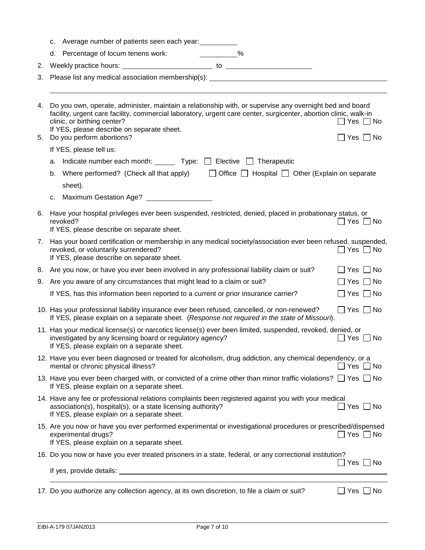|          | c. | Average number of patients seen each year:                                                                                                                                                                                                                                                                                                                                  |
|----------|----|-----------------------------------------------------------------------------------------------------------------------------------------------------------------------------------------------------------------------------------------------------------------------------------------------------------------------------------------------------------------------------|
|          |    | d. Percentage of locum tenens work: _____________%                                                                                                                                                                                                                                                                                                                          |
| 2.       |    |                                                                                                                                                                                                                                                                                                                                                                             |
| 3.       |    | Please list any medical association membership(s): _____________________________                                                                                                                                                                                                                                                                                            |
|          |    |                                                                                                                                                                                                                                                                                                                                                                             |
| 4.<br>5. |    | Do you own, operate, administer, maintain a relationship with, or supervise any overnight bed and board<br>facility, urgent care facility, commercial laboratory, urgent care center, surgicenter, abortion clinic, walk-in<br>clinic, or birthing center?<br>$\Box$ Yes $\Box$ No<br>If YES, please describe on separate sheet.<br>Do you perform abortions?<br>│Yes │ │No |
|          |    | If YES, please tell us:                                                                                                                                                                                                                                                                                                                                                     |
|          |    | a. Indicate number each month: $\Box$ Type: $\Box$ Elective $\Box$ Therapeutic                                                                                                                                                                                                                                                                                              |
|          | b. | Where performed? (Check all that apply) $\Box$ Office $\Box$ Hospital $\Box$ Other (Explain on separate                                                                                                                                                                                                                                                                     |
|          |    | sheet).                                                                                                                                                                                                                                                                                                                                                                     |
|          | c. | Maximum Gestation Age? ____________________                                                                                                                                                                                                                                                                                                                                 |
| 6.       |    | Have your hospital privileges ever been suspended, restricted, denied, placed in probationary status, or<br>revoked?<br>$\Box$ Yes $\Box$ No<br>If YES, please describe on separate sheet.                                                                                                                                                                                  |
| 7.       |    | Has your board certification or membership in any medical society/association ever been refused, suspended,<br>revoked, or voluntarily surrendered?<br>$\Box$ Yes $\Box$ No<br>If YES, please describe on separate sheet.                                                                                                                                                   |
| 8.       |    | Are you now, or have you ever been involved in any professional liability claim or suit?<br>$\Box$ Yes $\Box$ No                                                                                                                                                                                                                                                            |
| 9.       |    | Are you aware of any circumstances that might lead to a claim or suit?<br>$\Box$ Yes $\Box$ No                                                                                                                                                                                                                                                                              |
|          |    | If YES, has this information been reported to a current or prior insurance carrier?<br>$\Box$ Yes $\Box$ No                                                                                                                                                                                                                                                                 |
|          |    | $\Box$ Yes $\Box$ No<br>10. Has your professional liability insurance ever been refused, cancelled, or non-renewed?<br>If YES, please explain on a separate sheet. (Response not required in the state of Missouri).                                                                                                                                                        |
|          |    | 11. Has your medical license(s) or narcotics license(s) ever been limited, suspended, revoked, denied, or<br>investigated by any licensing board or regulatory agency?<br>$\Box$ Yes $\Box$ No<br>If YES, please explain on a separate sheet.                                                                                                                               |
|          |    | 12. Have you ever been diagnosed or treated for alcoholism, drug addiction, any chemical dependency, or a<br>mental or chronic physical illness?<br>7 Yes ∩ No                                                                                                                                                                                                              |
|          |    | 13. Have you ever been charged with, or convicted of a crime other than minor traffic violations? $\Box$ Yes $\Box$ No<br>If YES, please explain on a separate sheet.                                                                                                                                                                                                       |
|          |    | 14. Have any fee or professional relations complaints been registered against you with your medical<br>association(s), hospital(s), or a state licensing authority?<br>_  Yes ∠ No<br>If YES, please explain on a separate sheet.                                                                                                                                           |
|          |    | 15. Are you now or have you ever performed experimental or investigational procedures or prescribed/dispensed<br>experimental drugs?<br>$\Box$ Yes $\Box$ No<br>If YES, please explain on a separate sheet.                                                                                                                                                                 |
|          |    | 16. Do you now or have you ever treated prisoners in a state, federal, or any correctional institution?                                                                                                                                                                                                                                                                     |
|          |    | $\Box$ Yes $\Box$ No                                                                                                                                                                                                                                                                                                                                                        |
|          |    | 17. Do you authorize any collection agency, at its own discretion, to file a claim or suit?<br>$\Box$ Yes $\Box$ No                                                                                                                                                                                                                                                         |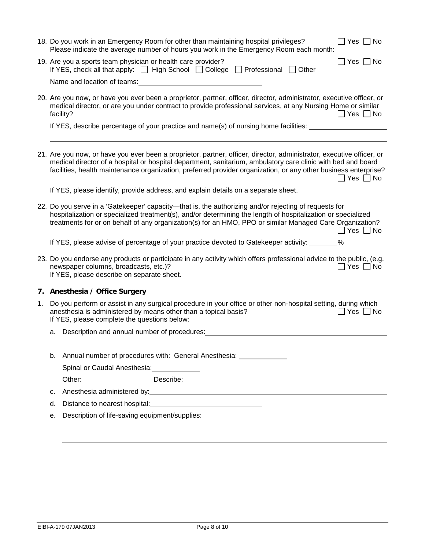|                                                                                                                                                                                                                                                      | 18. Do you work in an Emergency Room for other than maintaining hospital privileges?<br>$\Box$ Yes $\Box$ No<br>Please indicate the average number of hours you work in the Emergency Room each month:                                                                                                                                                                 |  |  |
|------------------------------------------------------------------------------------------------------------------------------------------------------------------------------------------------------------------------------------------------------|------------------------------------------------------------------------------------------------------------------------------------------------------------------------------------------------------------------------------------------------------------------------------------------------------------------------------------------------------------------------|--|--|
|                                                                                                                                                                                                                                                      | 19. Are you a sports team physician or health care provider?<br>$\Box$ Yes $\Box$ No<br>If YES, check all that apply: $\Box$ High School $\Box$ College $\Box$ Professional $\Box$ Other                                                                                                                                                                               |  |  |
|                                                                                                                                                                                                                                                      | Name and location of teams: Name and Location of teams:                                                                                                                                                                                                                                                                                                                |  |  |
|                                                                                                                                                                                                                                                      | 20. Are you now, or have you ever been a proprietor, partner, officer, director, administrator, executive officer, or<br>medical director, or are you under contract to provide professional services, at any Nursing Home or similar<br>facility?<br>$\Box$ Yes $\Box$ No                                                                                             |  |  |
|                                                                                                                                                                                                                                                      | If YES, describe percentage of your practice and name(s) of nursing home facilities:                                                                                                                                                                                                                                                                                   |  |  |
|                                                                                                                                                                                                                                                      |                                                                                                                                                                                                                                                                                                                                                                        |  |  |
|                                                                                                                                                                                                                                                      | 21. Are you now, or have you ever been a proprietor, partner, officer, director, administrator, executive officer, or<br>medical director of a hospital or hospital department, sanitarium, ambulatory care clinic with bed and board<br>facilities, health maintenance organization, preferred provider organization, or any other business enterprise?<br>∏ Yes □ No |  |  |
|                                                                                                                                                                                                                                                      | If YES, please identify, provide address, and explain details on a separate sheet.                                                                                                                                                                                                                                                                                     |  |  |
|                                                                                                                                                                                                                                                      | 22. Do you serve in a 'Gatekeeper' capacity—that is, the authorizing and/or rejecting of requests for<br>hospitalization or specialized treatment(s), and/or determining the length of hospitalization or specialized<br>treatments for or on behalf of any organization(s) for an HMO, PPO or similar Managed Care Organization?<br>$\Box$ Yes $\Box$ No              |  |  |
|                                                                                                                                                                                                                                                      | If YES, please advise of percentage of your practice devoted to Gatekeeper activity: _______ %                                                                                                                                                                                                                                                                         |  |  |
| 23. Do you endorse any products or participate in any activity which offers professional advice to the public, (e.g.<br>newspaper columns, broadcasts, etc.)?<br>  Yes □ No<br>If YES, please describe on separate sheet.                            |                                                                                                                                                                                                                                                                                                                                                                        |  |  |
|                                                                                                                                                                                                                                                      | Anesthesia / Office Surgery                                                                                                                                                                                                                                                                                                                                            |  |  |
| Do you perform or assist in any surgical procedure in your office or other non-hospital setting, during which<br>1.<br>anesthesia is administered by means other than a topical basis?<br>∏ Yes ∏ No<br>If YES, please complete the questions below: |                                                                                                                                                                                                                                                                                                                                                                        |  |  |
|                                                                                                                                                                                                                                                      | a. Description and annual number of procedures:                                                                                                                                                                                                                                                                                                                        |  |  |
|                                                                                                                                                                                                                                                      | b. Annual number of procedures with: General Anesthesia: 1990 1991                                                                                                                                                                                                                                                                                                     |  |  |
|                                                                                                                                                                                                                                                      | Spinal or Caudal Anesthesia: _____________                                                                                                                                                                                                                                                                                                                             |  |  |
|                                                                                                                                                                                                                                                      |                                                                                                                                                                                                                                                                                                                                                                        |  |  |
| c.                                                                                                                                                                                                                                                   | Anesthesia administered by: example and a series of the state of the state of the state of the state of the state of the state of the state of the state of the state of the state of the state of the state of the state of t                                                                                                                                         |  |  |
| d.                                                                                                                                                                                                                                                   |                                                                                                                                                                                                                                                                                                                                                                        |  |  |
| е.                                                                                                                                                                                                                                                   | Description of life-saving equipment/supplies:<br>Secret 2021 2022 2023 2024 2022 2023 2024 2022 2023 2024 2022 2023 2024 2022 2023 2024 2022 2023 2024 2022 20                                                                                                                                                                                                        |  |  |
|                                                                                                                                                                                                                                                      |                                                                                                                                                                                                                                                                                                                                                                        |  |  |
| 7.                                                                                                                                                                                                                                                   |                                                                                                                                                                                                                                                                                                                                                                        |  |  |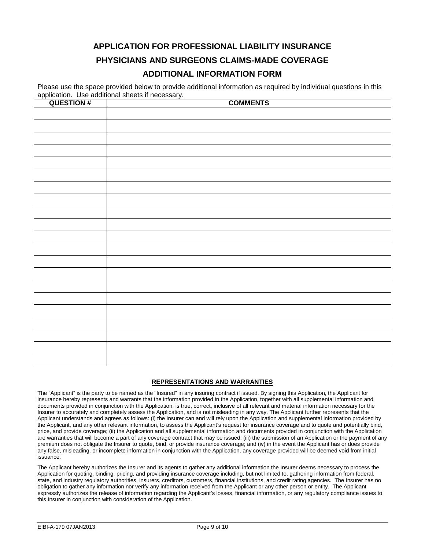# **APPLICATION FOR PROFESSIONAL LIABILITY INSURANCE PHYSICIANS AND SURGEONS CLAIMS-MADE COVERAGE**

# **ADDITIONAL INFORMATION FORM**

Please use the space provided below to provide additional information as required by individual questions in this application. Use additional sheets if necessary.

| <b>QUESTION#</b> | <b>COMMENTS</b> |
|------------------|-----------------|
|                  |                 |
|                  |                 |
|                  |                 |
|                  |                 |
|                  |                 |
|                  |                 |
|                  |                 |
|                  |                 |
|                  |                 |
|                  |                 |
|                  |                 |
|                  |                 |
|                  |                 |
|                  |                 |
|                  |                 |
|                  |                 |
|                  |                 |
|                  |                 |
|                  |                 |
|                  |                 |
|                  |                 |
|                  |                 |
|                  |                 |
|                  |                 |
|                  |                 |
|                  |                 |

#### **REPRESENTATIONS AND WARRANTIES**

The "Applicant" is the party to be named as the "Insured" in any insuring contract if issued. By signing this Application, the Applicant for insurance hereby represents and warrants that the information provided in the Application, together with all supplemental information and documents provided in conjunction with the Application, is true, correct, inclusive of all relevant and material information necessary for the Insurer to accurately and completely assess the Application, and is not misleading in any way. The Applicant further represents that the Applicant understands and agrees as follows: (i) the Insurer can and will rely upon the Application and supplemental information provided by the Applicant, and any other relevant information, to assess the Applicant's request for insurance coverage and to quote and potentially bind, price, and provide coverage; (ii) the Application and all supplemental information and documents provided in conjunction with the Application are warranties that will become a part of any coverage contract that may be issued; (iii) the submission of an Application or the payment of any premium does not obligate the Insurer to quote, bind, or provide insurance coverage; and (iv) in the event the Applicant has or does provide any false, misleading, or incomplete information in conjunction with the Application, any coverage provided will be deemed void from initial issuance.

The Applicant hereby authorizes the Insurer and its agents to gather any additional information the Insurer deems necessary to process the Application for quoting, binding, pricing, and providing insurance coverage including, but not limited to, gathering information from federal, state, and industry regulatory authorities, insurers, creditors, customers, financial institutions, and credit rating agencies. The Insurer has no obligation to gather any information nor verify any information received from the Applicant or any other person or entity. The Applicant expressly authorizes the release of information regarding the Applicant's losses, financial information, or any regulatory compliance issues to this Insurer in conjunction with consideration of the Application.